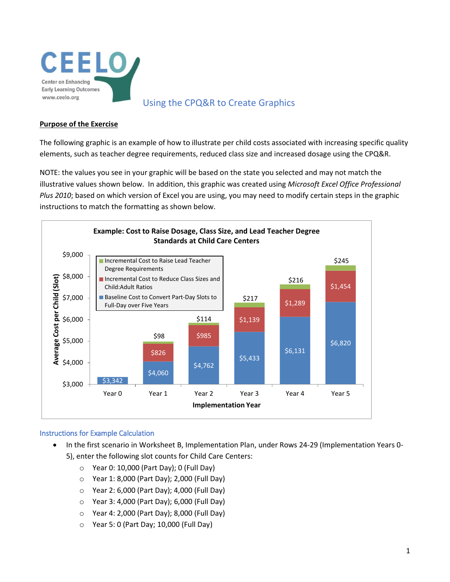

# Using the CPQ&R to Create Graphics

#### **Purpose of the Exercise**

The following graphic is an example of how to illustrate per child costs associated with increasing specific quality elements, such as teacher degree requirements, reduced class size and increased dosage using the CPQ&R.

NOTE: the values you see in your graphic will be based on the state you selected and may not match the illustrative values shown below. In addition, this graphic was created using *Microsoft Excel Office Professional Plus 2010*; based on which version of Excel you are using, you may need to modify certain steps in the graphic instructions to match the formatting as shown below.



#### Instructions for Example Calculation

- In the first scenario in Worksheet B, Implementation Plan, under Rows 24-29 (Implementation Years 0- 5), enter the following slot counts for Child Care Centers:
	- $\circ$  Year 0: 10,000 (Part Day); 0 (Full Day)
	- o Year 1: 8,000 (Part Day); 2,000 (Full Day)
	- o Year 2: 6,000 (Part Day); 4,000 (Full Day)
	- o Year 3: 4,000 (Part Day); 6,000 (Full Day)
	- o Year 4: 2,000 (Part Day); 8,000 (Full Day)
	- o Year 5: 0 (Part Day; 10,000 (Full Day)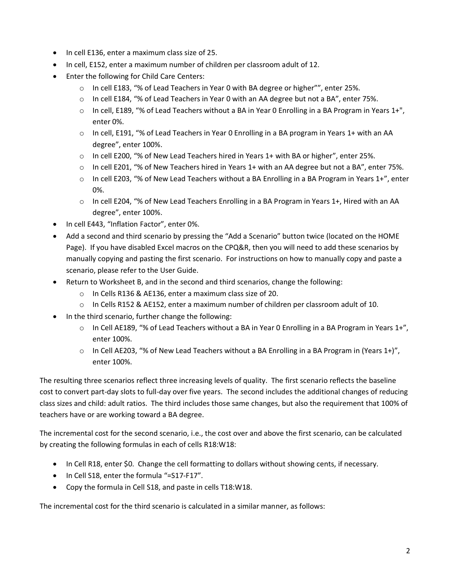- In cell E136, enter a maximum class size of 25.
- In cell, E152, enter a maximum number of children per classroom adult of 12.
- Enter the following for Child Care Centers:
	- $\circ$  In cell E183, "% of Lead Teachers in Year 0 with BA degree or higher"", enter 25%.
	- $\circ$  In cell E184, "% of Lead Teachers in Year 0 with an AA degree but not a BA", enter 75%.
	- $\circ$  In cell, E189, "% of Lead Teachers without a BA in Year 0 Enrolling in a BA Program in Years 1+", enter 0%.
	- $\circ$  In cell, E191, "% of Lead Teachers in Year 0 Enrolling in a BA program in Years 1+ with an AA degree", enter 100%.
	- o In cell E200, "% of New Lead Teachers hired in Years 1+ with BA or higher", enter 25%.
	- o In cell E201, "% of New Teachers hired in Years 1+ with an AA degree but not a BA", enter 75%.
	- $\circ$  In cell E203, "% of New Lead Teachers without a BA Enrolling in a BA Program in Years 1+", enter 0%.
	- $\circ$  In cell E204, "% of New Lead Teachers Enrolling in a BA Program in Years 1+, Hired with an AA degree", enter 100%.
- In cell E443, "Inflation Factor", enter 0%.
- Add a second and third scenario by pressing the "Add a Scenario" button twice (located on the HOME Page). If you have disabled Excel macros on the CPQ&R, then you will need to add these scenarios by manually copying and pasting the first scenario. For instructions on how to manually copy and paste a scenario, please refer to the User Guide.
- Return to Worksheet B, and in the second and third scenarios, change the following:
	- o In Cells R136 & AE136, enter a maximum class size of 20.
	- $\circ$  In Cells R152 & AE152, enter a maximum number of children per classroom adult of 10.
- In the third scenario, further change the following:
	- $\circ$  In Cell AE189, "% of Lead Teachers without a BA in Year 0 Enrolling in a BA Program in Years 1+", enter 100%.
	- $\circ$  In Cell AE203, "% of New Lead Teachers without a BA Enrolling in a BA Program in (Years 1+)", enter 100%.

The resulting three scenarios reflect three increasing levels of quality. The first scenario reflects the baseline cost to convert part-day slots to full-day over five years. The second includes the additional changes of reducing class sizes and child: adult ratios. The third includes those same changes, but also the requirement that 100% of teachers have or are working toward a BA degree.

The incremental cost for the second scenario, i.e., the cost over and above the first scenario, can be calculated by creating the following formulas in each of cells R18:W18:

- In Cell R18, enter \$0. Change the cell formatting to dollars without showing cents, if necessary.
- In Cell S18, enter the formula "=S17-F17".
- Copy the formula in Cell S18, and paste in cells T18:W18.

The incremental cost for the third scenario is calculated in a similar manner, as follows: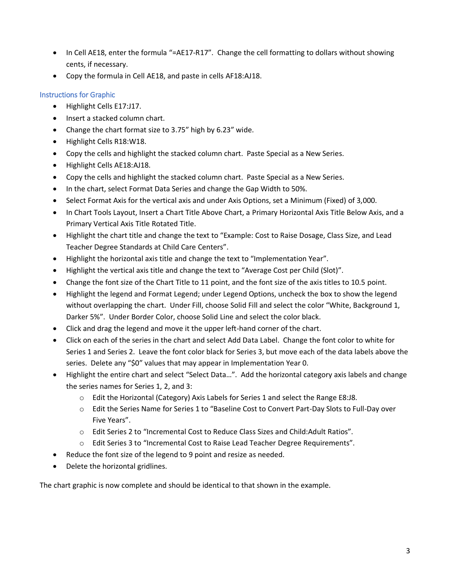- In Cell AE18, enter the formula "=AE17-R17". Change the cell formatting to dollars without showing cents, if necessary.
- Copy the formula in Cell AE18, and paste in cells AF18:AJ18.

## Instructions for Graphic

- Highlight Cells E17:J17.
- Insert a stacked column chart.
- Change the chart format size to 3.75" high by 6.23" wide.
- Highlight Cells R18:W18.
- Copy the cells and highlight the stacked column chart. Paste Special as a New Series.
- Highlight Cells AE18:AJ18.
- Copy the cells and highlight the stacked column chart. Paste Special as a New Series.
- In the chart, select Format Data Series and change the Gap Width to 50%.
- Select Format Axis for the vertical axis and under Axis Options, set a Minimum (Fixed) of 3,000.
- In Chart Tools Layout, Insert a Chart Title Above Chart, a Primary Horizontal Axis Title Below Axis, and a Primary Vertical Axis Title Rotated Title.
- Highlight the chart title and change the text to "Example: Cost to Raise Dosage, Class Size, and Lead Teacher Degree Standards at Child Care Centers".
- Highlight the horizontal axis title and change the text to "Implementation Year".
- Highlight the vertical axis title and change the text to "Average Cost per Child (Slot)".
- Change the font size of the Chart Title to 11 point, and the font size of the axis titles to 10.5 point.
- Highlight the legend and Format Legend; under Legend Options, uncheck the box to show the legend without overlapping the chart. Under Fill, choose Solid Fill and select the color "White, Background 1, Darker 5%". Under Border Color, choose Solid Line and select the color black.
- Click and drag the legend and move it the upper left-hand corner of the chart.
- Click on each of the series in the chart and select Add Data Label. Change the font color to white for Series 1 and Series 2. Leave the font color black for Series 3, but move each of the data labels above the series. Delete any "\$0" values that may appear in Implementation Year 0.
- Highlight the entire chart and select "Select Data…". Add the horizontal category axis labels and change the series names for Series 1, 2, and 3:
	- o Edit the Horizontal (Category) Axis Labels for Series 1 and select the Range E8:J8.
	- o Edit the Series Name for Series 1 to "Baseline Cost to Convert Part-Day Slots to Full-Day over Five Years".
	- o Edit Series 2 to "Incremental Cost to Reduce Class Sizes and Child:Adult Ratios".
	- o Edit Series 3 to "Incremental Cost to Raise Lead Teacher Degree Requirements".
- Reduce the font size of the legend to 9 point and resize as needed.
- Delete the horizontal gridlines.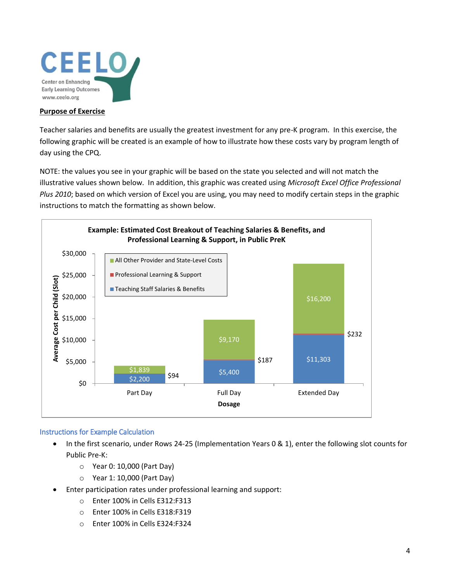

#### **Purpose of Exercise**

Teacher salaries and benefits are usually the greatest investment for any pre-K program. In this exercise, the following graphic will be created is an example of how to illustrate how these costs vary by program length of day using the CPQ.

NOTE: the values you see in your graphic will be based on the state you selected and will not match the illustrative values shown below. In addition, this graphic was created using *Microsoft Excel Office Professional Plus 2010*; based on which version of Excel you are using, you may need to modify certain steps in the graphic instructions to match the formatting as shown below.



#### Instructions for Example Calculation

- In the first scenario, under Rows 24-25 (Implementation Years 0 & 1), enter the following slot counts for Public Pre-K:
	- o Year 0: 10,000 (Part Day)
	- o Year 1: 10,000 (Part Day)
- Enter participation rates under professional learning and support:
	- o Enter 100% in Cells E312:F313
	- o Enter 100% in Cells E318:F319
	- o Enter 100% in Cells E324:F324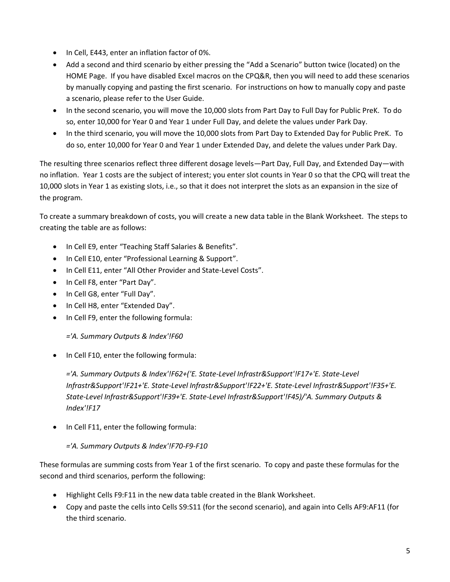- In Cell, E443, enter an inflation factor of 0%.
- Add a second and third scenario by either pressing the "Add a Scenario" button twice (located) on the HOME Page. If you have disabled Excel macros on the CPQ&R, then you will need to add these scenarios by manually copying and pasting the first scenario. For instructions on how to manually copy and paste a scenario, please refer to the User Guide.
- In the second scenario, you will move the 10,000 slots from Part Day to Full Day for Public PreK. To do so, enter 10,000 for Year 0 and Year 1 under Full Day, and delete the values under Park Day.
- In the third scenario, you will move the 10,000 slots from Part Day to Extended Day for Public PreK. To do so, enter 10,000 for Year 0 and Year 1 under Extended Day, and delete the values under Park Day.

The resulting three scenarios reflect three different dosage levels—Part Day, Full Day, and Extended Day—with no inflation. Year 1 costs are the subject of interest; you enter slot counts in Year 0 so that the CPQ will treat the 10,000 slots in Year 1 as existing slots, i.e., so that it does not interpret the slots as an expansion in the size of the program.

To create a summary breakdown of costs, you will create a new data table in the Blank Worksheet. The steps to creating the table are as follows:

- In Cell E9, enter "Teaching Staff Salaries & Benefits".
- In Cell E10, enter "Professional Learning & Support".
- In Cell E11, enter "All Other Provider and State-Level Costs".
- In Cell F8, enter "Part Day".
- In Cell G8, enter "Full Day".
- In Cell H8, enter "Extended Day".
- In Cell F9, enter the following formula:

*='A. Summary Outputs & Index'!F60*

• In Cell F10, enter the following formula:

*='A. Summary Outputs & Index'!F62+('E. State-Level Infrastr&Support'!F17+'E. State-Level Infrastr&Support'!F21+'E. State-Level Infrastr&Support'!F22+'E. State-Level Infrastr&Support'!F35+'E. State-Level Infrastr&Support'!F39+'E. State-Level Infrastr&Support'!F45)/'A. Summary Outputs & Index'!F17*

• In Cell F11, enter the following formula:

### *='A. Summary Outputs & Index'!F70-F9-F10*

These formulas are summing costs from Year 1 of the first scenario. To copy and paste these formulas for the second and third scenarios, perform the following:

- Highlight Cells F9:F11 in the new data table created in the Blank Worksheet.
- Copy and paste the cells into Cells S9:S11 (for the second scenario), and again into Cells AF9:AF11 (for the third scenario.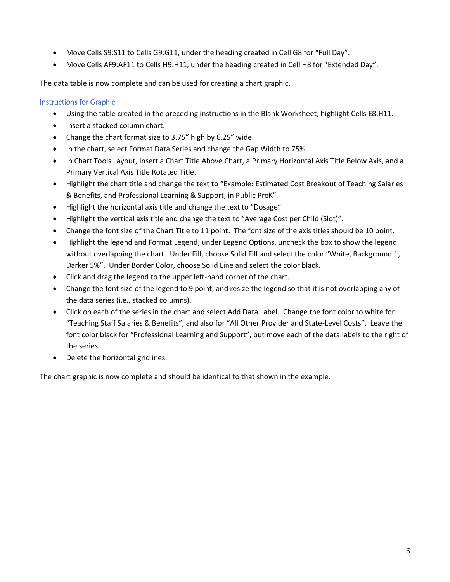- Move Cells S9:S11 to Cells G9:G11, under the heading created in Cell G8 for "Full Day".
- Move Cells AF9:AF11 to Cells H9:H11, under the heading created in Cell H8 for "Extended Day".

The data table is now complete and can be used for creating a chart graphic.

### Instructions for Graphic

- Using the table created in the preceding instructions in the Blank Worksheet, highlight Cells E8:H11.
- Insert a stacked column chart.
- Change the chart format size to 3.75" high by 6.25" wide.
- In the chart, select Format Data Series and change the Gap Width to 75%.
- In Chart Tools Layout, Insert a Chart Title Above Chart, a Primary Horizontal Axis Title Below Axis, and a Primary Vertical Axis Title Rotated Title.
- Highlight the chart title and change the text to "Example: Estimated Cost Breakout of Teaching Salaries & Benefits, and Professional Learning & Support, in Public PreK".
- Highlight the horizontal axis title and change the text to "Dosage".
- Highlight the vertical axis title and change the text to "Average Cost per Child (Slot)".
- Change the font size of the Chart Title to 11 point. The font size of the axis titles should be 10 point.
- Highlight the legend and Format Legend; under Legend Options, uncheck the box to show the legend without overlapping the chart. Under Fill, choose Solid Fill and select the color "White, Background 1, Darker 5%". Under Border Color, choose Solid Line and select the color black.
- Click and drag the legend to the upper left-hand corner of the chart.
- Change the font size of the legend to 9 point, and resize the legend so that it is not overlapping any of the data series (i.e., stacked columns).
- Click on each of the series in the chart and select Add Data Label. Change the font color to white for "Teaching Staff Salaries & Benefits", and also for "All Other Provider and State-Level Costs". Leave the font color black for "Professional Learning and Support", but move each of the data labels to the right of the series.
- Delete the horizontal gridlines.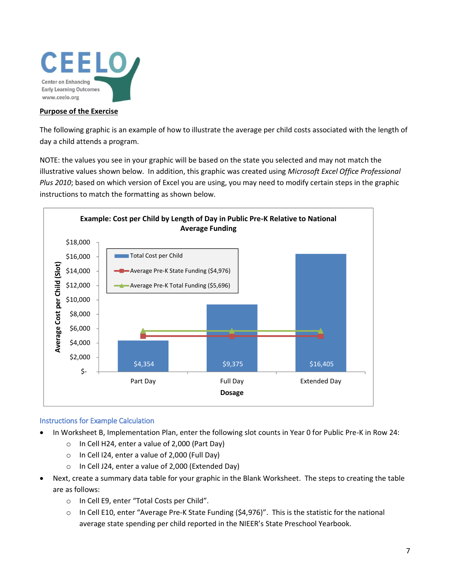

#### **Purpose of the Exercise**

The following graphic is an example of how to illustrate the average per child costs associated with the length of day a child attends a program.

NOTE: the values you see in your graphic will be based on the state you selected and may not match the illustrative values shown below. In addition, this graphic was created using *Microsoft Excel Office Professional Plus 2010*; based on which version of Excel you are using, you may need to modify certain steps in the graphic instructions to match the formatting as shown below.



#### Instructions for Example Calculation

- In Worksheet B, Implementation Plan, enter the following slot counts in Year 0 for Public Pre-K in Row 24:
	- o In Cell H24, enter a value of 2,000 (Part Day)
	- o In Cell I24, enter a value of 2,000 (Full Day)
	- o In Cell J24, enter a value of 2,000 (Extended Day)
- Next, create a summary data table for your graphic in the Blank Worksheet. The steps to creating the table are as follows:
	- o In Cell E9, enter "Total Costs per Child".
	- $\circ$  In Cell E10, enter "Average Pre-K State Funding (\$4,976)". This is the statistic for the national average state spending per child reported in the NIEER's State Preschool Yearbook.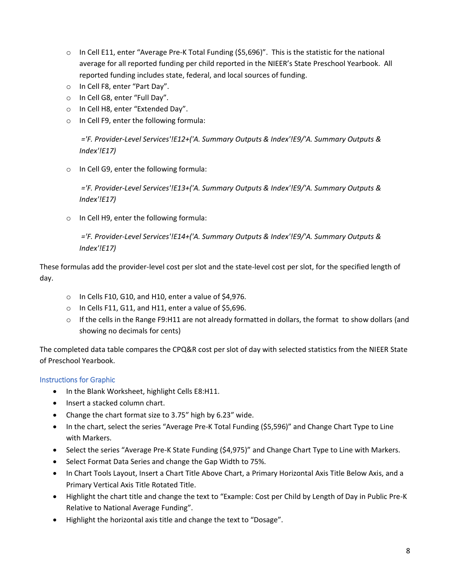- o In Cell E11, enter "Average Pre-K Total Funding (\$5,696)". This is the statistic for the national average for all reported funding per child reported in the NIEER's State Preschool Yearbook. All reported funding includes state, federal, and local sources of funding.
- o In Cell F8, enter "Part Day".
- o In Cell G8, enter "Full Day".
- o In Cell H8, enter "Extended Day".
- o In Cell F9, enter the following formula:

*='F. Provider-Level Services'!E12+('A. Summary Outputs & Index'!E9/'A. Summary Outputs & Index'!E17)*

o In Cell G9, enter the following formula:

*='F. Provider-Level Services'!E13+('A. Summary Outputs & Index'!E9/'A. Summary Outputs & Index'!E17)*

o In Cell H9, enter the following formula:

*='F. Provider-Level Services'!E14+('A. Summary Outputs & Index'!E9/'A. Summary Outputs & Index'!E17)*

These formulas add the provider-level cost per slot and the state-level cost per slot, for the specified length of day.

- o In Cells F10, G10, and H10, enter a value of \$4,976.
- o In Cells F11, G11, and H11, enter a value of \$5,696.
- $\circ$  If the cells in the Range F9:H11 are not already formatted in dollars, the format to show dollars (and showing no decimals for cents)

The completed data table compares the CPQ&R cost per slot of day with selected statistics from the NIEER State of Preschool Yearbook.

### Instructions for Graphic

- In the Blank Worksheet, highlight Cells E8:H11.
- Insert a stacked column chart.
- Change the chart format size to 3.75" high by 6.23" wide.
- In the chart, select the series "Average Pre-K Total Funding (\$5,596)" and Change Chart Type to Line with Markers.
- Select the series "Average Pre-K State Funding (\$4,975)" and Change Chart Type to Line with Markers.
- Select Format Data Series and change the Gap Width to 75%.
- In Chart Tools Layout, Insert a Chart Title Above Chart, a Primary Horizontal Axis Title Below Axis, and a Primary Vertical Axis Title Rotated Title.
- Highlight the chart title and change the text to "Example: Cost per Child by Length of Day in Public Pre-K Relative to National Average Funding".
- Highlight the horizontal axis title and change the text to "Dosage".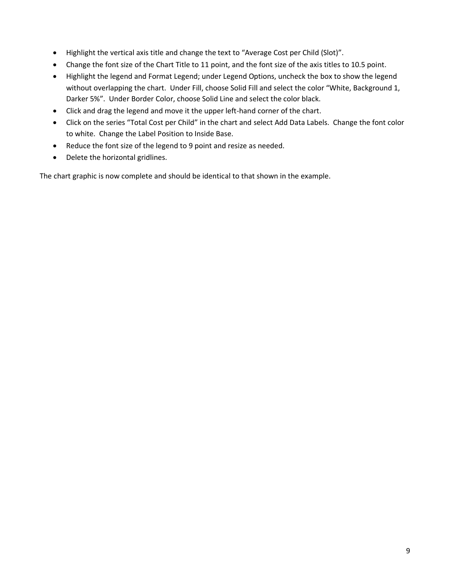- Highlight the vertical axis title and change the text to "Average Cost per Child (Slot)".
- Change the font size of the Chart Title to 11 point, and the font size of the axis titles to 10.5 point.
- Highlight the legend and Format Legend; under Legend Options, uncheck the box to show the legend without overlapping the chart. Under Fill, choose Solid Fill and select the color "White, Background 1, Darker 5%". Under Border Color, choose Solid Line and select the color black.
- Click and drag the legend and move it the upper left-hand corner of the chart.
- Click on the series "Total Cost per Child" in the chart and select Add Data Labels. Change the font color to white. Change the Label Position to Inside Base.
- Reduce the font size of the legend to 9 point and resize as needed.
- Delete the horizontal gridlines.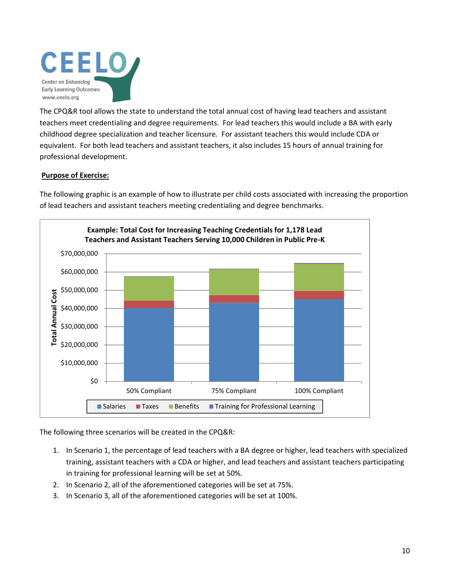

The CPQ&R tool allows the state to understand the total annual cost of having lead teachers and assistant teachers meet credentialing and degree requirements. For lead teachers this would include a BA with early childhood degree specialization and teacher licensure. For assistant teachers this would include CDA or equivalent. For both lead teachers and assistant teachers, it also includes 15 hours of annual training for professional development.

### **Purpose of Exercise:**

The following graphic is an example of how to illustrate per child costs associated with increasing the proportion of lead teachers and assistant teachers meeting credentialing and degree benchmarks.



The following three scenarios will be created in the CPQ&R:

- 1. In Scenario 1, the percentage of lead teachers with a BA degree or higher, lead teachers with specialized training, assistant teachers with a CDA or higher, and lead teachers and assistant teachers participating in training for professional learning will be set at 50%.
- 2. In Scenario 2, all of the aforementioned categories will be set at 75%.
- 3. In Scenario 3, all of the aforementioned categories will be set at 100%.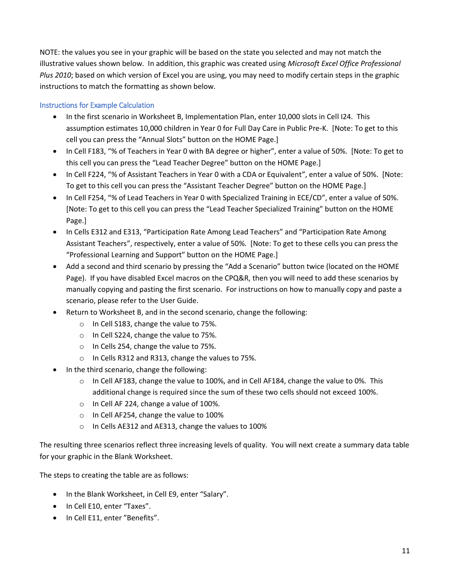NOTE: the values you see in your graphic will be based on the state you selected and may not match the illustrative values shown below. In addition, this graphic was created using *Microsoft Excel Office Professional Plus 2010*; based on which version of Excel you are using, you may need to modify certain steps in the graphic instructions to match the formatting as shown below.

## Instructions for Example Calculation

- In the first scenario in Worksheet B, Implementation Plan, enter 10,000 slots in Cell I24. This assumption estimates 10,000 children in Year 0 for Full Day Care in Public Pre-K. [Note: To get to this cell you can press the "Annual Slots" button on the HOME Page.]
- In Cell F183, "% of Teachers in Year 0 with BA degree or higher", enter a value of 50%. [Note: To get to this cell you can press the "Lead Teacher Degree" button on the HOME Page.]
- In Cell F224, "% of Assistant Teachers in Year 0 with a CDA or Equivalent", enter a value of 50%. [Note: To get to this cell you can press the "Assistant Teacher Degree" button on the HOME Page.]
- In Cell F254, "% of Lead Teachers in Year 0 with Specialized Training in ECE/CD", enter a value of 50%. [Note: To get to this cell you can press the "Lead Teacher Specialized Training" button on the HOME Page.]
- In Cells E312 and E313, "Participation Rate Among Lead Teachers" and "Participation Rate Among Assistant Teachers", respectively, enter a value of 50%. [Note: To get to these cells you can press the "Professional Learning and Support" button on the HOME Page.]
- Add a second and third scenario by pressing the "Add a Scenario" button twice (located on the HOME Page). If you have disabled Excel macros on the CPQ&R, then you will need to add these scenarios by manually copying and pasting the first scenario. For instructions on how to manually copy and paste a scenario, please refer to the User Guide.
- Return to Worksheet B, and in the second scenario, change the following:
	- o In Cell S183, change the value to 75%.
	- o In Cell S224, change the value to 75%.
	- o In Cells 254, change the value to 75%.
	- o In Cells R312 and R313, change the values to 75%.
- In the third scenario, change the following:
	- $\circ$  In Cell AF183, change the value to 100%, and in Cell AF184, change the value to 0%. This additional change is required since the sum of these two cells should not exceed 100%.
	- o In Cell AF 224, change a value of 100%.
	- o In Cell AF254, change the value to 100%
	- o In Cells AE312 and AE313, change the values to 100%

The resulting three scenarios reflect three increasing levels of quality. You will next create a summary data table for your graphic in the Blank Worksheet.

The steps to creating the table are as follows:

- In the Blank Worksheet, in Cell E9, enter "Salary".
- In Cell E10, enter "Taxes".
- In Cell E11, enter "Benefits".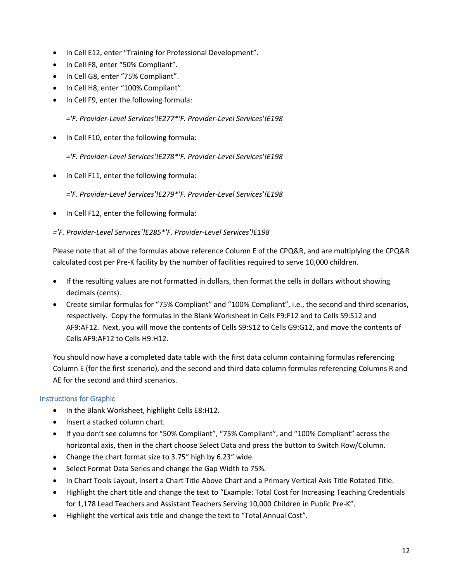- In Cell E12, enter "Training for Professional Development".
- In Cell F8, enter "50% Compliant".
- In Cell G8, enter "75% Compliant".
- In Cell H8, enter "100% Compliant".
- In Cell F9, enter the following formula:

*='F. Provider-Level Services'!E277\*'F. Provider-Level Services'!E198*

• In Cell F10, enter the following formula:

*='F. Provider-Level Services'!E278\*'F. Provider-Level Services'!E198*

• In Cell F11, enter the following formula:

*='F. Provider-Level Services'!E279\*'F. Provider-Level Services'!E198*

• In Cell F12, enter the following formula:

### *='F. Provider-Level Services'!E285\*'F. Provider-Level Services'!E198*

Please note that all of the formulas above reference Column E of the CPQ&R, and are multiplying the CPQ&R calculated cost per Pre-K facility by the number of facilities required to serve 10,000 children.

- If the resulting values are not formatted in dollars, then format the cells in dollars without showing decimals (cents).
- Create similar formulas for "75% Compliant" and "100% Compliant", i.e., the second and third scenarios, respectively. Copy the formulas in the Blank Worksheet in Cells F9:F12 and to Cells S9:S12 and AF9:AF12. Next, you will move the contents of Cells S9:S12 to Cells G9:G12, and move the contents of Cells AF9:AF12 to Cells H9:H12.

You should now have a completed data table with the first data column containing formulas referencing Column E (for the first scenario), and the second and third data column formulas referencing Columns R and AE for the second and third scenarios.

### Instructions for Graphic

- In the Blank Worksheet, highlight Cells E8:H12.
- Insert a stacked column chart.
- If you don't see columns for "50% Compliant", "75% Compliant", and "100% Compliant" across the horizontal axis, then in the chart choose Select Data and press the button to Switch Row/Column.
- Change the chart format size to 3.75" high by 6.23" wide.
- Select Format Data Series and change the Gap Width to 75%.
- In Chart Tools Layout, Insert a Chart Title Above Chart and a Primary Vertical Axis Title Rotated Title.
- Highlight the chart title and change the text to "Example: Total Cost for Increasing Teaching Credentials for 1,178 Lead Teachers and Assistant Teachers Serving 10,000 Children in Public Pre-K".
- Highlight the vertical axis title and change the text to "Total Annual Cost".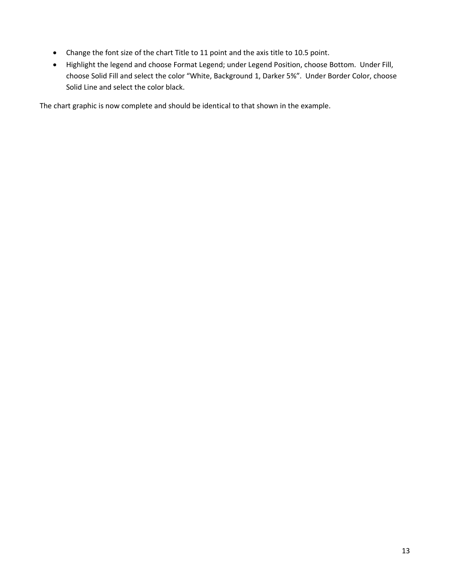- Change the font size of the chart Title to 11 point and the axis title to 10.5 point.
- Highlight the legend and choose Format Legend; under Legend Position, choose Bottom. Under Fill, choose Solid Fill and select the color "White, Background 1, Darker 5%". Under Border Color, choose Solid Line and select the color black.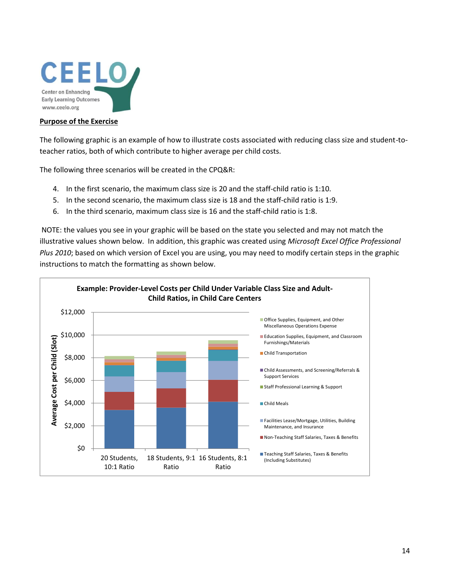

#### **Purpose of the Exercise**

The following graphic is an example of how to illustrate costs associated with reducing class size and student-toteacher ratios, both of which contribute to higher average per child costs.

The following three scenarios will be created in the CPQ&R:

- 4. In the first scenario, the maximum class size is 20 and the staff-child ratio is 1:10.
- 5. In the second scenario, the maximum class size is 18 and the staff-child ratio is 1:9.
- 6. In the third scenario, maximum class size is 16 and the staff-child ratio is 1:8.

NOTE: the values you see in your graphic will be based on the state you selected and may not match the illustrative values shown below. In addition, this graphic was created using *Microsoft Excel Office Professional Plus 2010*; based on which version of Excel you are using, you may need to modify certain steps in the graphic instructions to match the formatting as shown below.

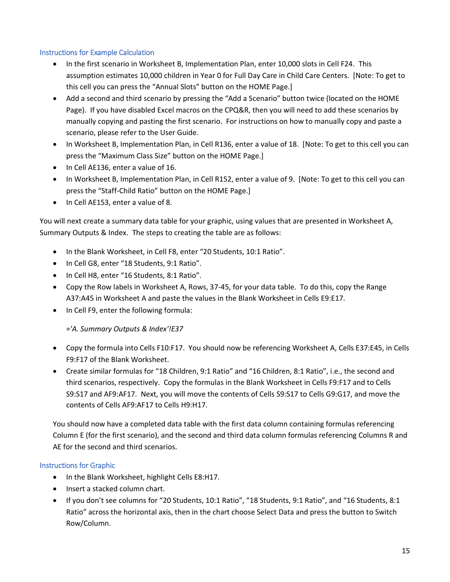### Instructions for Example Calculation

- In the first scenario in Worksheet B, Implementation Plan, enter 10,000 slots in Cell F24. This assumption estimates 10,000 children in Year 0 for Full Day Care in Child Care Centers. [Note: To get to this cell you can press the "Annual Slots" button on the HOME Page.]
- Add a second and third scenario by pressing the "Add a Scenario" button twice (located on the HOME Page). If you have disabled Excel macros on the CPQ&R, then you will need to add these scenarios by manually copying and pasting the first scenario. For instructions on how to manually copy and paste a scenario, please refer to the User Guide.
- In Worksheet B, Implementation Plan, in Cell R136, enter a value of 18. [Note: To get to this cell you can press the "Maximum Class Size" button on the HOME Page.]
- In Cell AE136, enter a value of 16.
- In Worksheet B, Implementation Plan, in Cell R152, enter a value of 9. [Note: To get to this cell you can press the "Staff-Child Ratio" button on the HOME Page.]
- In Cell AE153, enter a value of 8.

You will next create a summary data table for your graphic, using values that are presented in Worksheet A, Summary Outputs & Index. The steps to creating the table are as follows:

- In the Blank Worksheet, in Cell F8, enter "20 Students, 10:1 Ratio".
- In Cell G8, enter "18 Students, 9:1 Ratio".
- In Cell H8, enter "16 Students, 8:1 Ratio".
- Copy the Row labels in Worksheet A, Rows, 37-45, for your data table. To do this, copy the Range A37:A45 in Worksheet A and paste the values in the Blank Worksheet in Cells E9:E17.
- In Cell F9, enter the following formula:

*='A. Summary Outputs & Index'!E37*

- Copy the formula into Cells F10:F17. You should now be referencing Worksheet A, Cells E37:E45, in Cells F9:F17 of the Blank Worksheet.
- Create similar formulas for "18 Children, 9:1 Ratio" and "16 Children, 8:1 Ratio", i.e., the second and third scenarios, respectively. Copy the formulas in the Blank Worksheet in Cells F9:F17 and to Cells S9:S17 and AF9:AF17. Next, you will move the contents of Cells S9:S17 to Cells G9:G17, and move the contents of Cells AF9:AF17 to Cells H9:H17.

You should now have a completed data table with the first data column containing formulas referencing Column E (for the first scenario), and the second and third data column formulas referencing Columns R and AE for the second and third scenarios.

### Instructions for Graphic

- In the Blank Worksheet, highlight Cells E8:H17.
- Insert a stacked column chart.
- If you don't see columns for "20 Students, 10:1 Ratio", "18 Students, 9:1 Ratio", and "16 Students, 8:1 Ratio" across the horizontal axis, then in the chart choose Select Data and press the button to Switch Row/Column.